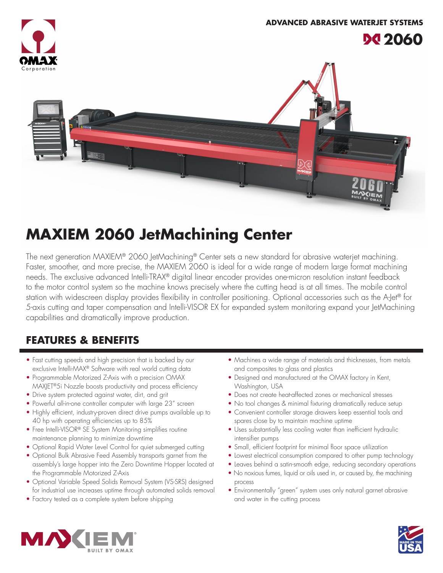

## **MAXIEM 2060 JetMachining Center**

The next generation MAXIEM® 2060 JetMachining® Center sets a new standard for abrasive waterjet machining. Faster, smoother, and more precise, the MAXIEM 2060 is ideal for a wide range of modern large format machining needs. The exclusive advanced Intelli-TRAX® digital linear encoder provides one-micron resolution instant feedback to the motor control system so the machine knows precisely where the cutting head is at all times. The mobile control station with widescreen display provides flexibility in controller positioning. Optional accessories such as the A-Jet® for 5-axis cutting and taper compensation and Intelli-VISOR EX for expanded system monitoring expand your JetMachining capabilities and dramatically improve production.

## **FEATURES & BENEFITS**

- Fast cutting speeds and high precision that is backed by our exclusive Intelli-MAX® Software with real world cutting data
- Programmable Motorized Z-Axis with a precision OMAX MAXJET®5i Nozzle boosts productivity and process efficiency
- Drive system protected against water, dirt, and grit
- Powerful all-in-one controller computer with large 23" screen
- Highly efficient, industry-proven direct drive pumps available up to 40 hp with operating efficiencies up to 85%
- Free Intelli-VISOR® SE System Monitoring simplifies routine maintenance planning to minimize downtime
- Optional Rapid Water Level Control for quiet submerged cutting
- Optional Bulk Abrasive Feed Assembly transports garnet from the assembly's large hopper into the Zero Downtime Hopper located at the Programmable Motorized Z-Axis
- Optional Variable Speed Solids Removal System (VS-SRS) designed for industrial use increases uptime through automated solids removal
- Factory tested as a complete system before shipping
- Machines a wide range of materials and thicknesses, from metals and composites to glass and plastics
- Designed and manufactured at the OMAX factory in Kent, Washington, USA
- Does not create heat-affected zones or mechanical stresses
- No tool changes & minimal fixturing dramatically reduce setup
- Convenient controller storage drawers keep essential tools and spares close by to maintain machine uptime
- Uses substantially less cooling water than inefficient hydraulic intensifier pumps
- Small, efficient footprint for minimal floor space utilization
- Lowest electrical consumption compared to other pump technology
- Leaves behind a satin-smooth edge, reducing secondary operations
- No noxious fumes, liquid or oils used in, or caused by, the machining process
- Environmentally "green" system uses only natural garnet abrasive and water in the cutting process